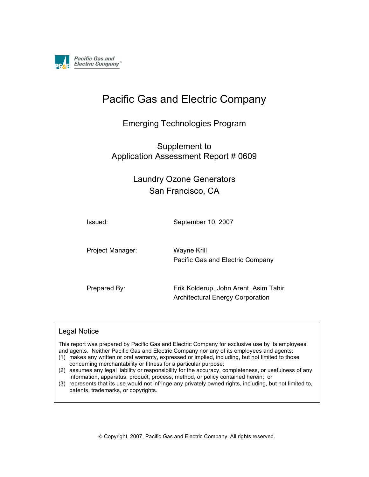

# Pacific Gas and Electric Company

### Emerging Technologies Program

### Supplement to Application Assessment Report # 0609

## Laundry Ozone Generators San Francisco, CA

Issued: September 10, 2007

Project Manager: Wayne Krill

Pacific Gas and Electric Company

Prepared By: Erik Kolderup, John Arent, Asim Tahir Architectural Energy Corporation

#### Legal Notice

This report was prepared by Pacific Gas and Electric Company for exclusive use by its employees and agents. Neither Pacific Gas and Electric Company nor any of its employees and agents:

- (1) makes any written or oral warranty, expressed or implied, including, but not limited to those concerning merchantability or fitness for a particular purpose;
- (2) assumes any legal liability or responsibility for the accuracy, completeness, or usefulness of any information, apparatus, product, process, method, or policy contained herein; or
- (3) represents that its use would not infringe any privately owned rights, including, but not limited to, patents, trademarks, or copyrights.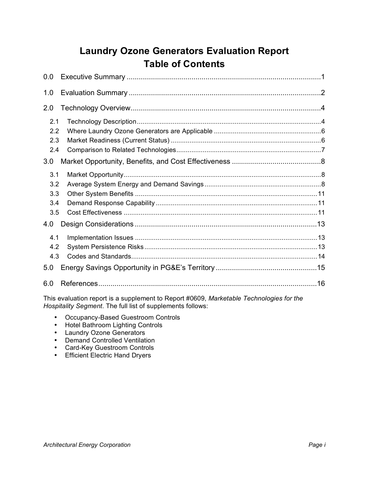## **Laundry Ozone Generators Evaluation Report Table of Contents**

| 0.0                                    |  |
|----------------------------------------|--|
| 1.0                                    |  |
| 2.0                                    |  |
| 2.1<br>2.2<br>2.3<br>2.4               |  |
| 3.0                                    |  |
| 3.1<br>3.2<br>3.3<br>3.4<br>3.5<br>4.0 |  |
| 4.1<br>4.2<br>4.3                      |  |
| 5.0                                    |  |
| 6.0                                    |  |

This evaluation report is a supplement to Report #0609, *Marketable Technologies for the Hospitality Segment*. The full list of supplements follows:

- Occupancy-Based Guestroom Controls
- Hotel Bathroom Lighting Controls
- Laundry Ozone Generators
- Demand Controlled Ventilation
- Card-Key Guestroom Controls
- Efficient Electric Hand Dryers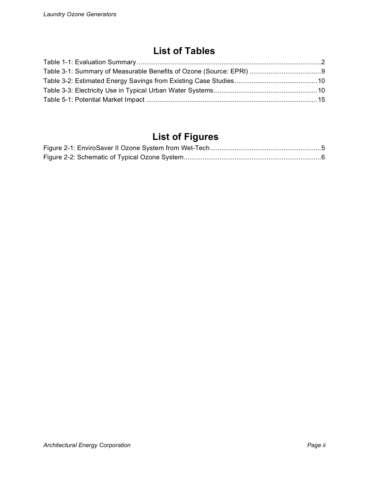## **List of Tables**

# **List of Figures**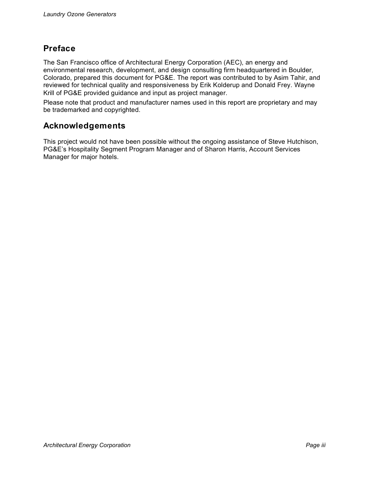### **Preface**

The San Francisco office of Architectural Energy Corporation (AEC), an energy and environmental research, development, and design consulting firm headquartered in Boulder, Colorado, prepared this document for PG&E. The report was contributed to by Asim Tahir, and reviewed for technical quality and responsiveness by Erik Kolderup and Donald Frey. Wayne Krill of PG&E provided guidance and input as project manager.

Please note that product and manufacturer names used in this report are proprietary and may be trademarked and copyrighted.

### **Acknowledgements**

This project would not have been possible without the ongoing assistance of Steve Hutchison, PG&E's Hospitality Segment Program Manager and of Sharon Harris, Account Services Manager for major hotels.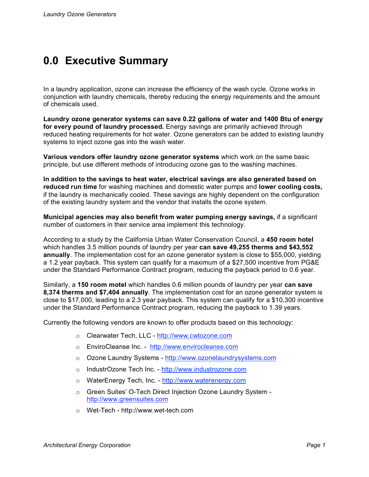# **0.0 Executive Summary**

In a laundry application, ozone can increase the efficiency of the wash cycle. Ozone works in conjunction with laundry chemicals, thereby reducing the energy requirements and the amount of chemicals used.

**Laundry ozone generator systems can save 0.22 gallons of water and 1400 Btu of energy for every pound of laundry processed.** Energy savings are primarily achieved through reduced heating requirements for hot water. Ozone generators can be added to existing laundry systems to inject ozone gas into the wash water.

**Various vendors offer laundry ozone generator systems** which work on the same basic principle, but use different methods of introducing ozone gas to the washing machines.

**In addition to the savings to heat water, electrical savings are also generated based on reduced run time** for washing machines and domestic water pumps and **lower cooling costs,** if the laundry is mechanically cooled. These savings are highly dependent on the configuration of the existing laundry system and the vendor that installs the ozone system.

**Municipal agencies may also benefit from water pumping energy savings,** if a significant number of customers in their service area implement this technology.

According to a study by the California Urban Water Conservation Council, a **450 room hotel** which handles 3.5 million pounds of laundry per year **can save 49,255 therms and \$43,552 annually**. The implementation cost for an ozone generator system is close to \$55,000, yielding a 1.2 year payback. This system can qualify for a maximum of a \$27,500 incentive from PG&E under the Standard Performance Contract program, reducing the payback period to 0.6 year.

Similarly, a **150 room motel** which handles 0.6 million pounds of laundry per year **can save 8,374 therms and \$7,404 annually**. The implementation cost for an ozone generator system is close to \$17,000, leading to a 2.3 year payback. This system can qualify for a \$10,300 incentive under the Standard Performance Contract program, reducing the payback to 1.39 years.

Currently the following vendors are known to offer products based on this technology:

- o Clearwater Tech, LLC http://www.cwtozone.com
- o EnviroCleanse Inc. http://www.envirocleanse.com
- o Ozone Laundry Systems http://www.ozonelaundrysystems.com
- o IndustrOzone Tech Inc. http://www.industrozone.com
- o WaterEnergy Tech, Inc. http://www.waterenergy.com
- o Green Suites' O-Tech Direct Injection Ozone Laundry System http://www.greensuites.com
- o Wet-Tech http://www.wet-tech.com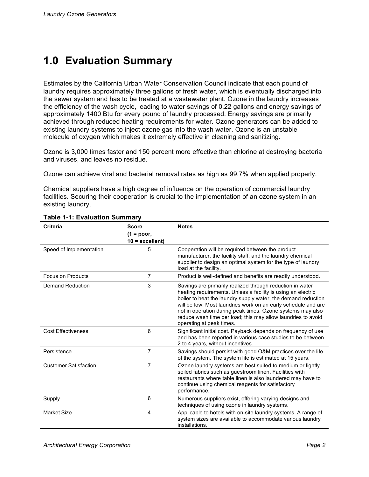# **1.0 Evaluation Summary**

Estimates by the California Urban Water Conservation Council indicate that each pound of laundry requires approximately three gallons of fresh water, which is eventually discharged into the sewer system and has to be treated at a wastewater plant. Ozone in the laundry increases the efficiency of the wash cycle, leading to water savings of 0.22 gallons and energy savings of approximately 1400 Btu for every pound of laundry processed. Energy savings are primarily achieved through reduced heating requirements for water. Ozone generators can be added to existing laundry systems to inject ozone gas into the wash water. Ozone is an unstable molecule of oxygen which makes it extremely effective in cleaning and sanitizing.

Ozone is 3,000 times faster and 150 percent more effective than chlorine at destroying bacteria and viruses, and leaves no residue.

Ozone can achieve viral and bacterial removal rates as high as 99.7% when applied properly.

Chemical suppliers have a high degree of influence on the operation of commercial laundry facilities. Securing their cooperation is crucial to the implementation of an ozone system in an existing laundry.

| Criteria                     | <b>Score</b><br>$(1 = poor,$ | <b>Notes</b>                                                                                                                                                                                                                                                                                                                                                                                                          |
|------------------------------|------------------------------|-----------------------------------------------------------------------------------------------------------------------------------------------------------------------------------------------------------------------------------------------------------------------------------------------------------------------------------------------------------------------------------------------------------------------|
|                              | $10 =$ excellent)            |                                                                                                                                                                                                                                                                                                                                                                                                                       |
| Speed of Implementation      | 5                            | Cooperation will be required between the product<br>manufacturer, the facility staff, and the laundry chemical<br>supplier to design an optimal system for the type of laundry<br>load at the facility.                                                                                                                                                                                                               |
| <b>Focus on Products</b>     | 7                            | Product is well-defined and benefits are readily understood.                                                                                                                                                                                                                                                                                                                                                          |
| <b>Demand Reduction</b>      | 3                            | Savings are primarily realized through reduction in water<br>heating requirements. Unless a facility is using an electric<br>boiler to heat the laundry supply water, the demand reduction<br>will be low. Most laundries work on an early schedule and are<br>not in operation during peak times. Ozone systems may also<br>reduce wash time per load; this may allow laundries to avoid<br>operating at peak times. |
| <b>Cost Effectiveness</b>    | 6                            | Significant initial cost. Payback depends on frequency of use<br>and has been reported in various case studies to be between<br>2 to 4 years, without incentives.                                                                                                                                                                                                                                                     |
| Persistence                  | $\overline{7}$               | Savings should persist with good O&M practices over the life<br>of the system. The system life is estimated at 15 years.                                                                                                                                                                                                                                                                                              |
| <b>Customer Satisfaction</b> | $\overline{7}$               | Ozone laundry systems are best suited to medium or lightly<br>soiled fabrics such as guestroom linen. Facilities with<br>restaurants where table linen is also laundered may have to<br>continue using chemical reagents for satisfactory<br>performance.                                                                                                                                                             |
| Supply                       | 6                            | Numerous suppliers exist, offering varying designs and<br>techniques of using ozone in laundry systems.                                                                                                                                                                                                                                                                                                               |
| <b>Market Size</b>           | 4                            | Applicable to hotels with on-site laundry systems. A range of<br>system sizes are available to accommodate various laundry<br>installations.                                                                                                                                                                                                                                                                          |

#### **Table 1-1: Evaluation Summary**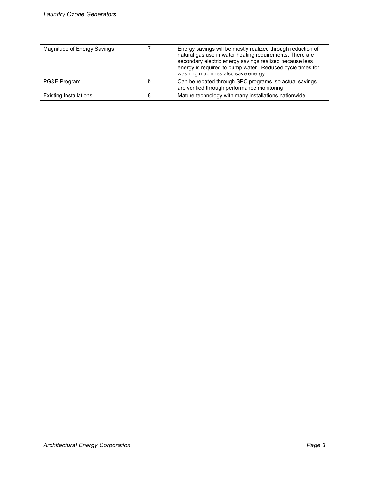| Magnitude of Energy Savings   |   | Energy savings will be mostly realized through reduction of<br>natural gas use in water heating requirements. There are<br>secondary electric energy savings realized because less<br>energy is required to pump water. Reduced cycle times for<br>washing machines also save energy. |
|-------------------------------|---|---------------------------------------------------------------------------------------------------------------------------------------------------------------------------------------------------------------------------------------------------------------------------------------|
| PG&E Program                  | 6 | Can be rebated through SPC programs, so actual savings<br>are verified through performance monitoring                                                                                                                                                                                 |
| <b>Existing Installations</b> | 8 | Mature technology with many installations nationwide.                                                                                                                                                                                                                                 |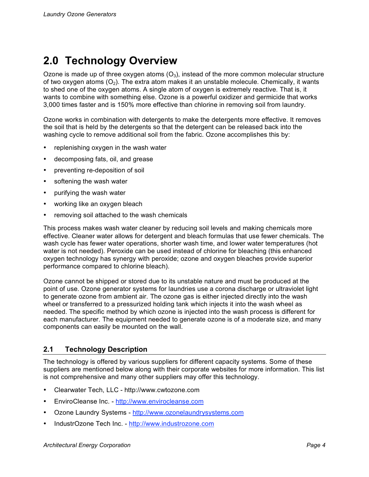# **2.0 Technology Overview**

Ozone is made up of three oxygen atoms  $(O_3)$ , instead of the more common molecular structure of two oxygen atoms  $(O_2)$ . The extra atom makes it an unstable molecule. Chemically, it wants to shed one of the oxygen atoms. A single atom of oxygen is extremely reactive. That is, it wants to combine with something else. Ozone is a powerful oxidizer and germicide that works 3,000 times faster and is 150% more effective than chlorine in removing soil from laundry.

Ozone works in combination with detergents to make the detergents more effective. It removes the soil that is held by the detergents so that the detergent can be released back into the washing cycle to remove additional soil from the fabric. Ozone accomplishes this by:

- replenishing oxygen in the wash water
- decomposing fats, oil, and grease
- preventing re-deposition of soil
- softening the wash water
- purifying the wash water
- working like an oxygen bleach
- removing soil attached to the wash chemicals

This process makes wash water cleaner by reducing soil levels and making chemicals more effective. Cleaner water allows for detergent and bleach formulas that use fewer chemicals. The wash cycle has fewer water operations, shorter wash time, and lower water temperatures (hot water is not needed). Peroxide can be used instead of chlorine for bleaching (this enhanced oxygen technology has synergy with peroxide; ozone and oxygen bleaches provide superior performance compared to chlorine bleach).

Ozone cannot be shipped or stored due to its unstable nature and must be produced at the point of use. Ozone generator systems for laundries use a corona discharge or ultraviolet light to generate ozone from ambient air. The ozone gas is either injected directly into the wash wheel or transferred to a pressurized holding tank which injects it into the wash wheel as needed. The specific method by which ozone is injected into the wash process is different for each manufacturer. The equipment needed to generate ozone is of a moderate size, and many components can easily be mounted on the wall.

### **2.1 Technology Description**

The technology is offered by various suppliers for different capacity systems. Some of these suppliers are mentioned below along with their corporate websites for more information. This list is not comprehensive and many other suppliers may offer this technology.

- Clearwater Tech, LLC http://www.cwtozone.com
- EnviroCleanse Inc. http://www.envirocleanse.com
- Ozone Laundry Systems http://www.ozonelaundrysystems.com
- IndustrOzone Tech Inc. http://www.industrozone.com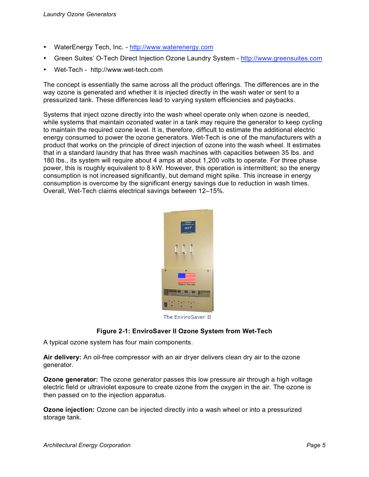- WaterEnergy Tech, Inc. http://www.waterenergy.com
- Green Suites' O-Tech Direct Injection Ozone Laundry System http://www.greensuites.com
- Wet-Tech http://www.wet-tech.com

The concept is essentially the same across all the product offerings. The differences are in the way ozone is generated and whether it is injected directly in the wash water or sent to a pressurized tank. These differences lead to varying system efficiencies and paybacks.

Systems that inject ozone directly into the wash wheel operate only when ozone is needed, while systems that maintain ozonated water in a tank may require the generator to keep cycling to maintain the required ozone level. It is, therefore, difficult to estimate the additional electric energy consumed to power the ozone generators. Wet-Tech is one of the manufacturers with a product that works on the principle of direct injection of ozone into the wash wheel. It estimates that in a standard laundry that has three wash machines with capacities between 35 lbs. and 180 lbs., its system will require about 4 amps at about 1,200 volts to operate. For three phase power, this is roughly equivalent to 8 kW. However, this operation is intermittent; so the energy consumption is not increased significantly, but demand might spike. This increase in energy consumption is overcome by the significant energy savings due to reduction in wash times. Overall, Wet-Tech claims electrical savings between 12–15%.



The EnviroSaver II

#### **Figure 2-1: EnviroSaver II Ozone System from Wet-Tech**

A typical ozone system has four main components.

**Air delivery:** An oil-free compressor with an air dryer delivers clean dry air to the ozone generator.

**Ozone generator:** The ozone generator passes this low pressure air through a high voltage electric field or ultraviolet exposure to create ozone from the oxygen in the air. The ozone is then passed on to the injection apparatus.

**Ozone injection:** Ozone can be injected directly into a wash wheel or into a pressurized storage tank.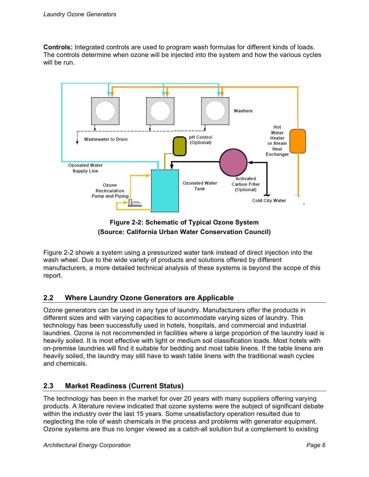**Controls:** Integrated controls are used to program wash formulas for different kinds of loads. The controls determine when ozone will be injected into the system and how the various cycles will be run.



**Figure 2-2: Schematic of Typical Ozone System (Source: California Urban Water Conservation Council)**

Figure 2-2 shows a system using a pressurized water tank instead of direct injection into the wash wheel. Due to the wide variety of products and solutions offered by different manufacturers, a more detailed technical analysis of these systems is beyond the scope of this report.

### **2.2 Where Laundry Ozone Generators are Applicable**

Ozone generators can be used in any type of laundry. Manufacturers offer the products in different sizes and with varying capacities to accommodate varying sizes of laundry. This technology has been successfully used in hotels, hospitals, and commercial and industrial laundries. Ozone is not recommended in facilities where a large proportion of the laundry load is heavily soiled. It is most effective with light or medium soil classification loads. Most hotels with on-premise laundries will find it suitable for bedding and most table linens. If the table linens are heavily soiled, the laundry may still have to wash table linens with the traditional wash cycles and chemicals.

### **2.3 Market Readiness (Current Status)**

The technology has been in the market for over 20 years with many suppliers offering varying products. A literature review indicated that ozone systems were the subject of significant debate within the industry over the last 15 years. Some unsatisfactory operation resulted due to neglecting the role of wash chemicals in the process and problems with generator equipment. Ozone systems are thus no longer viewed as a catch-all solution but a complement to existing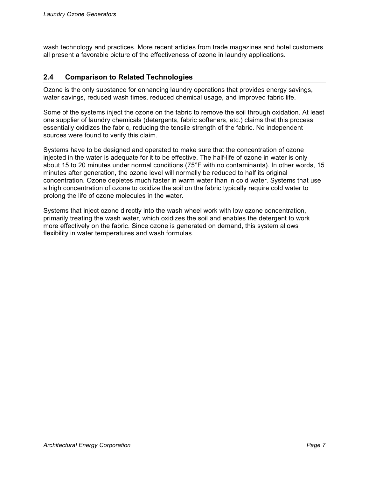wash technology and practices. More recent articles from trade magazines and hotel customers all present a favorable picture of the effectiveness of ozone in laundry applications.

### **2.4 Comparison to Related Technologies**

Ozone is the only substance for enhancing laundry operations that provides energy savings, water savings, reduced wash times, reduced chemical usage, and improved fabric life.

Some of the systems inject the ozone on the fabric to remove the soil through oxidation. At least one supplier of laundry chemicals (detergents, fabric softeners, etc.) claims that this process essentially oxidizes the fabric, reducing the tensile strength of the fabric. No independent sources were found to verify this claim.

Systems have to be designed and operated to make sure that the concentration of ozone injected in the water is adequate for it to be effective. The half-life of ozone in water is only about 15 to 20 minutes under normal conditions (75°F with no contaminants). In other words, 15 minutes after generation, the ozone level will normally be reduced to half its original concentration. Ozone depletes much faster in warm water than in cold water. Systems that use a high concentration of ozone to oxidize the soil on the fabric typically require cold water to prolong the life of ozone molecules in the water.

Systems that inject ozone directly into the wash wheel work with low ozone concentration, primarily treating the wash water, which oxidizes the soil and enables the detergent to work more effectively on the fabric. Since ozone is generated on demand, this system allows flexibility in water temperatures and wash formulas.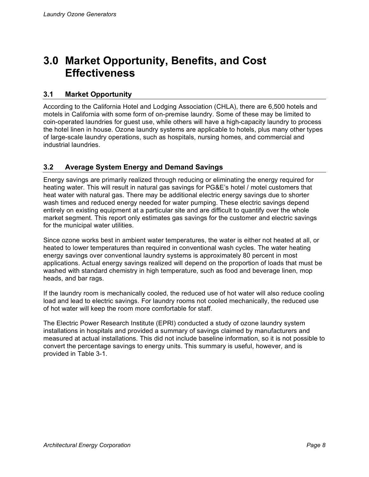# **3.0 Market Opportunity, Benefits, and Cost Effectiveness**

### **3.1 Market Opportunity**

According to the California Hotel and Lodging Association (CHLA), there are 6,500 hotels and motels in California with some form of on-premise laundry. Some of these may be limited to coin-operated laundries for guest use, while others will have a high-capacity laundry to process the hotel linen in house. Ozone laundry systems are applicable to hotels, plus many other types of large-scale laundry operations, such as hospitals, nursing homes, and commercial and industrial laundries.

### **3.2 Average System Energy and Demand Savings**

Energy savings are primarily realized through reducing or eliminating the energy required for heating water. This will result in natural gas savings for PG&E's hotel / motel customers that heat water with natural gas. There may be additional electric energy savings due to shorter wash times and reduced energy needed for water pumping. These electric savings depend entirely on existing equipment at a particular site and are difficult to quantify over the whole market segment. This report only estimates gas savings for the customer and electric savings for the municipal water utilities.

Since ozone works best in ambient water temperatures, the water is either not heated at all, or heated to lower temperatures than required in conventional wash cycles. The water heating energy savings over conventional laundry systems is approximately 80 percent in most applications. Actual energy savings realized will depend on the proportion of loads that must be washed with standard chemistry in high temperature, such as food and beverage linen, mop heads, and bar rags.

If the laundry room is mechanically cooled, the reduced use of hot water will also reduce cooling load and lead to electric savings. For laundry rooms not cooled mechanically, the reduced use of hot water will keep the room more comfortable for staff.

The Electric Power Research Institute (EPRI) conducted a study of ozone laundry system installations in hospitals and provided a summary of savings claimed by manufacturers and measured at actual installations. This did not include baseline information, so it is not possible to convert the percentage savings to energy units. This summary is useful, however, and is provided in Table 3-1.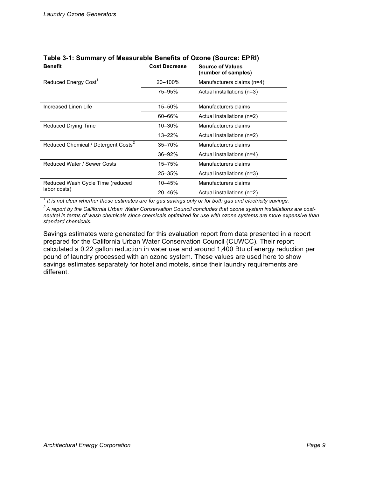| <b>Benefit</b>                                  | <b>Cost Decrease</b> | <b>Source of Values</b><br>(number of samples) |
|-------------------------------------------------|----------------------|------------------------------------------------|
| Reduced Energy Cost <sup>1</sup>                | 20-100%              | Manufacturers claims (n=4)                     |
|                                                 | 75-95%               | Actual installations (n=3)                     |
| Increased Linen Life                            | $15 - 50\%$          | Manufacturers claims                           |
|                                                 | $60 - 66%$           | Actual installations (n=2)                     |
| Reduced Drying Time                             | $10 - 30%$           | Manufacturers claims                           |
|                                                 | $13 - 22%$           | Actual installations (n=2)                     |
| Reduced Chemical / Detergent Costs <sup>2</sup> | $35 - 70%$           | Manufacturers claims                           |
|                                                 | $36 - 92%$           | Actual installations (n=4)                     |
| Reduced Water / Sewer Costs                     | $15 - 75%$           | Manufacturers claims                           |
|                                                 | $25 - 35%$           | Actual installations (n=3)                     |
| Reduced Wash Cycle Time (reduced                | 10-45%               | Manufacturers claims                           |
| labor costs)                                    | 20-46%               | Actual installations (n=2)                     |

|  | Table 3-1: Summary of Measurable Benefits of Ozone (Source: EPRI) |  |
|--|-------------------------------------------------------------------|--|
|--|-------------------------------------------------------------------|--|

<sup>1</sup> It is not clear whether these estimates are for gas savings only or for both gas and electricity savings.

 $2A$  report by the California Urban Water Conservation Council concludes that ozone system installations are costneutral in terms of wash chemicals since chemicals optimized for use with ozone systems are more expensive than *standard chemicals.*

Savings estimates were generated for this evaluation report from data presented in a report prepared for the California Urban Water Conservation Council (CUWCC). Their report calculated a 0.22 gallon reduction in water use and around 1,400 Btu of energy reduction per pound of laundry processed with an ozone system. These values are used here to show savings estimates separately for hotel and motels, since their laundry requirements are different.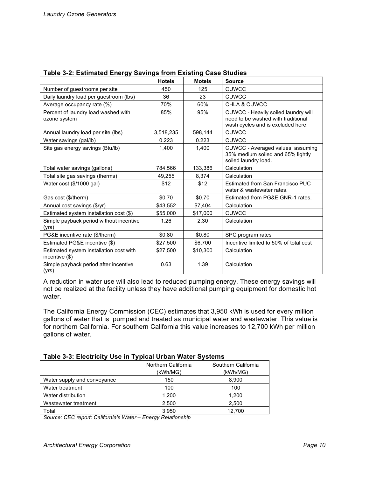| "פייי יי ענ                                                    |               |               |                                                                                                                |
|----------------------------------------------------------------|---------------|---------------|----------------------------------------------------------------------------------------------------------------|
|                                                                | <b>Hotels</b> | <b>Motels</b> | <b>Source</b>                                                                                                  |
| Number of guestrooms per site                                  | 450           | 125           | <b>CUWCC</b>                                                                                                   |
| Daily laundry load per guestroom (lbs)                         | 36            | 23            | <b>CUWCC</b>                                                                                                   |
| Average occupancy rate (%)                                     | 70%           | 60%           | <b>CHLA &amp; CUWCC</b>                                                                                        |
| Percent of laundry load washed with<br>ozone system            | 85%           | 95%           | CUWCC - Heavily soiled laundry will<br>need to be washed with traditional<br>wash cycles and is excluded here. |
| Annual laundry load per site (lbs)                             | 3,518,235     | 598,144       | <b>CUWCC</b>                                                                                                   |
| Water savings (gal/lb)                                         | 0.223         | 0.223         | <b>CUWCC</b>                                                                                                   |
| Site gas energy savings (Btu/lb)                               | 1,400         | 1,400         | CUWCC - Averaged values, assuming<br>35% medium soiled and 65% lightly<br>soiled laundry load.                 |
| Total water savings (gallons)                                  | 784,566       | 133,386       | Calculation                                                                                                    |
| Total site gas savings (therms)                                | 49,255        | 8,374         | Calculation                                                                                                    |
| Water cost (\$/1000 gal)                                       | \$12          | \$12          | Estimated from San Francisco PUC<br>water & wastewater rates.                                                  |
| Gas cost (\$/therm)                                            | \$0.70        | \$0.70        | Estimated from PG&E GNR-1 rates.                                                                               |
| Annual cost savings (\$/yr)                                    | \$43,552      | \$7,404       | Calculation                                                                                                    |
| Estimated system installation cost (\$)                        | \$55,000      | \$17,000      | <b>CUWCC</b>                                                                                                   |
| Simple payback period without incentive<br>(yrs)               | 1.26          | 2.30          | Calculation                                                                                                    |
| PG&E incentive rate (\$/therm)                                 | \$0.80        | \$0.80        | SPC program rates                                                                                              |
| Estimated PG&E incentive (\$)                                  | \$27,500      | \$6,700       | Incentive limited to 50% of total cost                                                                         |
| Estimated system installation cost with<br>incentive $($ math) | \$27,500      | \$10,300      | Calculation                                                                                                    |
| Simple payback period after incentive<br>(yrs)                 | 0.63          | 1.39          | Calculation                                                                                                    |

#### **Table 3-2: Estimated Energy Savings from Existing Case Studies**

A reduction in water use will also lead to reduced pumping energy. These energy savings will not be realized at the facility unless they have additional pumping equipment for domestic hot water.

The California Energy Commission (CEC) estimates that 3,950 kWh is used for every million gallons of water that is pumped and treated as municipal water and wastewater. This value is for northern California. For southern California this value increases to 12,700 kWh per million gallons of water.

**Table 3-3: Electricity Use in Typical Urban Water Systems**

|                             | Northern California | Southern California |
|-----------------------------|---------------------|---------------------|
|                             | (kWh/MG)            | (kWh/MG)            |
| Water supply and conveyance | 150                 | 8,900               |
| Water treatment             | 100                 | 100                 |
| Water distribution          | 1,200               | 1,200               |
| Wastewater treatment        | 2,500               | 2,500               |
| Total                       | 3,950               | 12.700              |

*Source: CEC report: California's Water – Energy Relationship*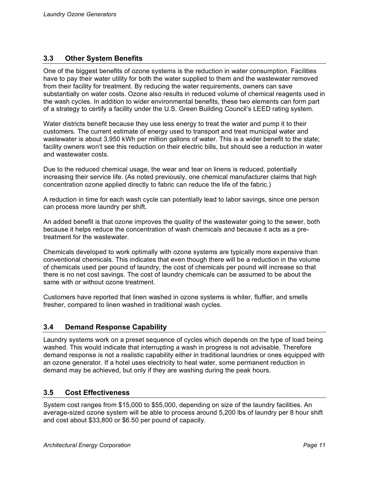#### **3.3 Other System Benefits**

One of the biggest benefits of ozone systems is the reduction in water consumption. Facilities have to pay their water utility for both the water supplied to them and the wastewater removed from their facility for treatment. By reducing the water requirements, owners can save substantially on water costs. Ozone also results in reduced volume of chemical reagents used in the wash cycles. In addition to wider environmental benefits, these two elements can form part of a strategy to certify a facility under the U.S. Green Building Council's LEED rating system.

Water districts benefit because they use less energy to treat the water and pump it to their customers. The current estimate of energy used to transport and treat municipal water and wastewater is about 3,950 kWh per million gallons of water. This is a wider benefit to the state; facility owners won't see this reduction on their electric bills, but should see a reduction in water and wastewater costs.

Due to the reduced chemical usage, the wear and tear on linens is reduced, potentially increasing their service life. (As noted previously, one chemical manufacturer claims that high concentration ozone applied directly to fabric can reduce the life of the fabric.)

A reduction in time for each wash cycle can potentially lead to labor savings, since one person can process more laundry per shift.

An added benefit is that ozone improves the quality of the wastewater going to the sewer, both because it helps reduce the concentration of wash chemicals and because it acts as a pretreatment for the wastewater.

Chemicals developed to work optimally with ozone systems are typically more expensive than conventional chemicals. This indicates that even though there will be a reduction in the volume of chemicals used per pound of laundry, the cost of chemicals per pound will increase so that there is no net cost savings. The cost of laundry chemicals can be assumed to be about the same with or without ozone treatment.

Customers have reported that linen washed in ozone systems is whiter, fluffier, and smells fresher, compared to linen washed in traditional wash cycles.

#### **3.4 Demand Response Capability**

Laundry systems work on a preset sequence of cycles which depends on the type of load being washed. This would indicate that interrupting a wash in progress is not advisable. Therefore demand response is not a realistic capability either in traditional laundries or ones equipped with an ozone generator. If a hotel uses electricity to heat water, some permanent reduction in demand may be achieved, but only if they are washing during the peak hours.

#### **3.5 Cost Effectiveness**

System cost ranges from \$15,000 to \$55,000, depending on size of the laundry facilities. An average-sized ozone system will be able to process around 5,200 lbs of laundry per 8 hour shift and cost about \$33,800 or \$6.50 per pound of capacity.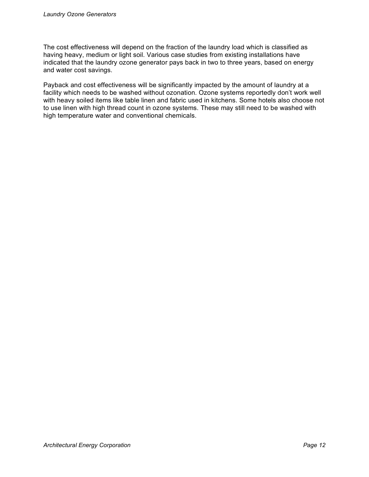The cost effectiveness will depend on the fraction of the laundry load which is classified as having heavy, medium or light soil. Various case studies from existing installations have indicated that the laundry ozone generator pays back in two to three years, based on energy and water cost savings.

Payback and cost effectiveness will be significantly impacted by the amount of laundry at a facility which needs to be washed without ozonation. Ozone systems reportedly don't work well with heavy soiled items like table linen and fabric used in kitchens. Some hotels also choose not to use linen with high thread count in ozone systems. These may still need to be washed with high temperature water and conventional chemicals.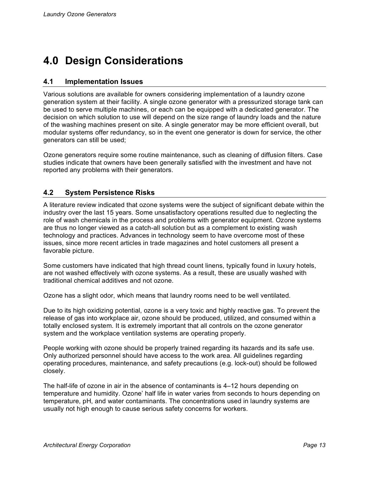# **4.0 Design Considerations**

#### **4.1 Implementation Issues**

Various solutions are available for owners considering implementation of a laundry ozone generation system at their facility. A single ozone generator with a pressurized storage tank can be used to serve multiple machines, or each can be equipped with a dedicated generator. The decision on which solution to use will depend on the size range of laundry loads and the nature of the washing machines present on site. A single generator may be more efficient overall, but modular systems offer redundancy, so in the event one generator is down for service, the other generators can still be used;

Ozone generators require some routine maintenance, such as cleaning of diffusion filters. Case studies indicate that owners have been generally satisfied with the investment and have not reported any problems with their generators.

#### **4.2 System Persistence Risks**

A literature review indicated that ozone systems were the subject of significant debate within the industry over the last 15 years. Some unsatisfactory operations resulted due to neglecting the role of wash chemicals in the process and problems with generator equipment. Ozone systems are thus no longer viewed as a catch-all solution but as a complement to existing wash technology and practices. Advances in technology seem to have overcome most of these issues, since more recent articles in trade magazines and hotel customers all present a favorable picture.

Some customers have indicated that high thread count linens, typically found in luxury hotels, are not washed effectively with ozone systems. As a result, these are usually washed with traditional chemical additives and not ozone.

Ozone has a slight odor, which means that laundry rooms need to be well ventilated.

Due to its high oxidizing potential, ozone is a very toxic and highly reactive gas. To prevent the release of gas into workplace air, ozone should be produced, utilized, and consumed within a totally enclosed system. It is extremely important that all controls on the ozone generator system and the workplace ventilation systems are operating properly.

People working with ozone should be properly trained regarding its hazards and its safe use. Only authorized personnel should have access to the work area. All guidelines regarding operating procedures, maintenance, and safety precautions (e.g. lock-out) should be followed closely.

The half-life of ozone in air in the absence of contaminants is 4–12 hours depending on temperature and humidity. Ozone' half life in water varies from seconds to hours depending on temperature, pH, and water contaminants. The concentrations used in laundry systems are usually not high enough to cause serious safety concerns for workers.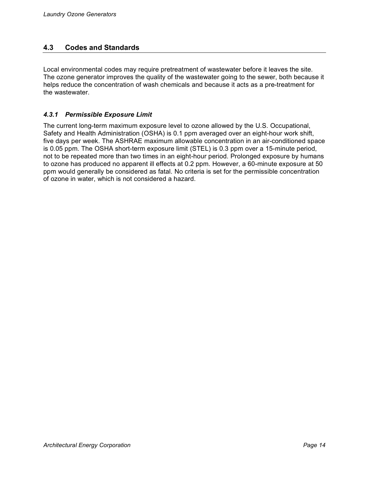#### **4.3 Codes and Standards**

Local environmental codes may require pretreatment of wastewater before it leaves the site. The ozone generator improves the quality of the wastewater going to the sewer, both because it helps reduce the concentration of wash chemicals and because it acts as a pre-treatment for the wastewater.

#### *4.3.1 Permissible Exposure Limit*

The current long-term maximum exposure level to ozone allowed by the U.S. Occupational, Safety and Health Administration (OSHA) is 0.1 ppm averaged over an eight-hour work shift, five days per week. The ASHRAE maximum allowable concentration in an air-conditioned space is 0.05 ppm. The OSHA short-term exposure limit (STEL) is 0.3 ppm over a 15-minute period, not to be repeated more than two times in an eight-hour period. Prolonged exposure by humans to ozone has produced no apparent ill effects at 0.2 ppm. However, a 60-minute exposure at 50 ppm would generally be considered as fatal. No criteria is set for the permissible concentration of ozone in water, which is not considered a hazard.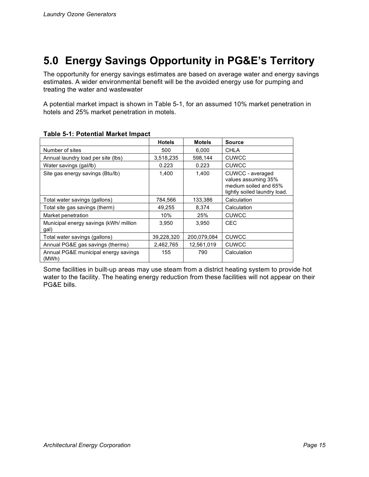# **5.0 Energy Savings Opportunity in PG&E's Territory**

The opportunity for energy savings estimates are based on average water and energy savings estimates. A wider environmental benefit will be the avoided energy use for pumping and treating the water and wastewater

A potential market impact is shown in Table 5-1, for an assumed 10% market penetration in hotels and 25% market penetration in motels.

|                                                | <b>Hotels</b> | <b>Motels</b> | <b>Source</b>                                                                                    |
|------------------------------------------------|---------------|---------------|--------------------------------------------------------------------------------------------------|
| Number of sites                                | 500           | 6.000         | CHLA                                                                                             |
| Annual laundry load per site (lbs)             | 3,518,235     | 598,144       | <b>CUWCC</b>                                                                                     |
| Water savings (gal/lb)                         | 0.223         | 0.223         | CUWCC                                                                                            |
| Site gas energy savings (Btu/lb)               | 1.400         | 1.400         | CUWCC - averaged<br>values assuming 35%<br>medium soiled and 65%<br>lightly soiled laundry load. |
| Total water savings (gallons)                  | 784,566       | 133,386       | Calculation                                                                                      |
| Total site gas savings (therm)                 | 49,255        | 8,374         | Calculation                                                                                      |
| Market penetration                             | $10\%$        | 25%           | CUWCC                                                                                            |
| Municipal energy savings (kWh/ million<br>gal) | 3.950         | 3,950         | <b>CEC</b>                                                                                       |
| Total water savings (gallons)                  | 39,228,320    | 200,079,084   | <b>CUWCC</b>                                                                                     |
| Annual PG&E gas savings (therms)               | 2,462,765     | 12,561,019    | CUWCC                                                                                            |
| Annual PG&E municipal energy savings<br>(MWh)  | 155           | 790           | Calculation                                                                                      |

#### **Table 5-1: Potential Market Impact**

Some facilities in built-up areas may use steam from a district heating system to provide hot water to the facility. The heating energy reduction from these facilities will not appear on their PG&E bills.